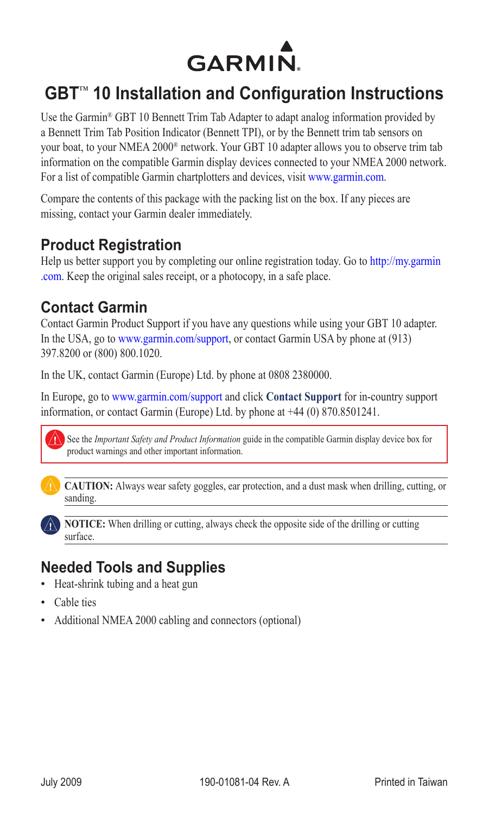

# **GBT**™ **10 Installation and Configuration Instructions**

Use the Garmin® GBT 10 Bennett Trim Tab Adapter to adapt analog information provided by a Bennett Trim Tab Position Indicator (Bennett TPI), or by the Bennett trim tab sensors on your boat, to your NMEA 2000® network. Your GBT 10 adapter allows you to observe trim tab information on the compatible Garmin display devices connected to your NMEA 2000 network. For a list of compatible Garmin chartplotters and devices, visit <www.garmin.com>.

Compare the contents of this package with the packing list on the box. If any pieces are missing, contact your Garmin dealer immediately.

### **Product Registration**

Help us better support you by completing our online registration today. Go to [http://my.garmin](http://my.garmin.com) [.com](http://my.garmin.com). Keep the original sales receipt, or a photocopy, in a safe place.

### **Contact Garmin**

Contact Garmin Product Support if you have any questions while using your GBT 10 adapter. In the USA, go to www.garmin.com/support, or contact Garmin USA by phone at (913) 397.8200 or (800) 800.1020.

In the UK, contact Garmin (Europe) Ltd. by phone at 0808 2380000.

In Europe, go to www.garmin.com/support and click **Contact Support** for in-country support information, or contact Garmin (Europe) Ltd. by phone at +44 (0) 870.8501241.

See the *Important Safety and Product Information* guide in the compatible Garmin display device box for product warnings and other important information.



**caution:** Always wear safety goggles, ear protection, and a dust mask when drilling, cutting, or sanding.

**NOTICE:** When drilling or cutting, always check the opposite side of the drilling or cutting surface.

# **Needed Tools and Supplies**

- Heat-shrink tubing and a heat gun •
- Cable ties •
- Additional NMEA 2000 cabling and connectors (optional)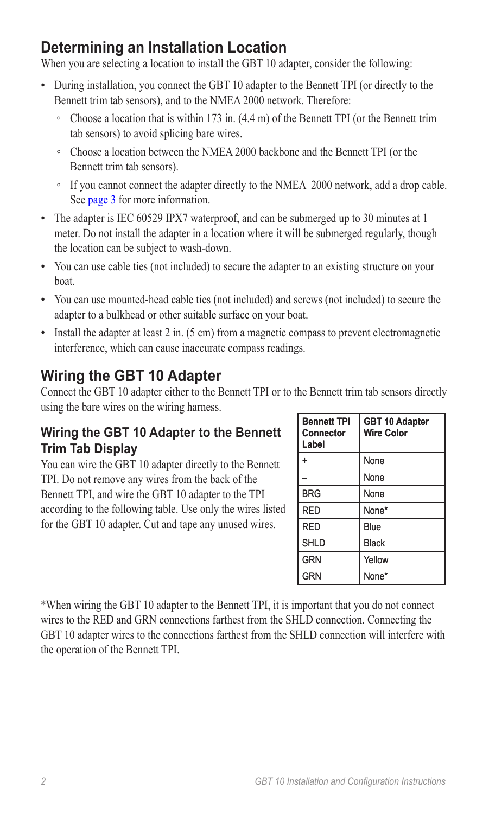# **Determining an Installation Location**

When you are selecting a location to install the GBT 10 adapter, consider the following:

- During installation, you connect the GBT 10 adapter to the Bennett TPI (or directly to the Bennett trim tab sensors), and to the NMEA 2000 network. Therefore:
	- Choose a location that is within 173 in. (4.4 m) of the Bennett TPI (or the Bennett trim tab sensors) to avoid splicing bare wires.
	- Choose a location between the NMEA 2000 backbone and the Bennett TPI (or the Bennett trim tab sensors).
	- If you cannot connect the adapter directly to the NMEA 2000 network, add a drop cable. See [page 3](#page-2-0) for more information.
- The adapter is IEC 60529 IPX7 waterproof, and can be submerged up to 30 minutes at 1 meter. Do not install the adapter in a location where it will be submerged regularly, though the location can be subject to wash-down.
- You can use cable ties (not included) to secure the adapter to an existing structure on your boat.
- You can use mounted-head cable ties (not included) and screws (not included) to secure the adapter to a bulkhead or other suitable surface on your boat.
- Install the adapter at least 2 in. (5 cm) from a magnetic compass to prevent electromagnetic interference, which can cause inaccurate compass readings.

# **Wiring the GBT 10 Adapter**

Connect the GBT 10 adapter either to the Bennett TPI or to the Bennett trim tab sensors directly using the bare wires on the wiring harness.

### **Wiring the GBT 10 Adapter to the Bennett Trim Tab Display**

You can wire the GBT 10 adapter directly to the Bennett TPI. Do not remove any wires from the back of the Bennett TPI, and wire the GBT 10 adapter to the TPI according to the following table. Use only the wires listed for the GBT 10 adapter. Cut and tape any unused wires.

| <b>Bennett TPI</b><br><b>Connector</b><br>Label | <b>GBT 10 Adapter</b><br><b>Wire Color</b> |
|-------------------------------------------------|--------------------------------------------|
| ÷                                               | None                                       |
|                                                 | None                                       |
| <b>BRG</b>                                      | None                                       |
| RED                                             | None*                                      |
| RFD                                             | Blue                                       |
| <b>SHLD</b>                                     | <b>Black</b>                               |
| <b>GRN</b>                                      | Yellow                                     |
| GRN                                             | None*                                      |

\*When wiring the GBT 10 adapter to the Bennett TPI, it is important that you do not connect wires to the RED and GRN connections farthest from the SHLD connection. Connecting the GBT 10 adapter wires to the connections farthest from the SHLD connection will interfere with the operation of the Bennett TPI.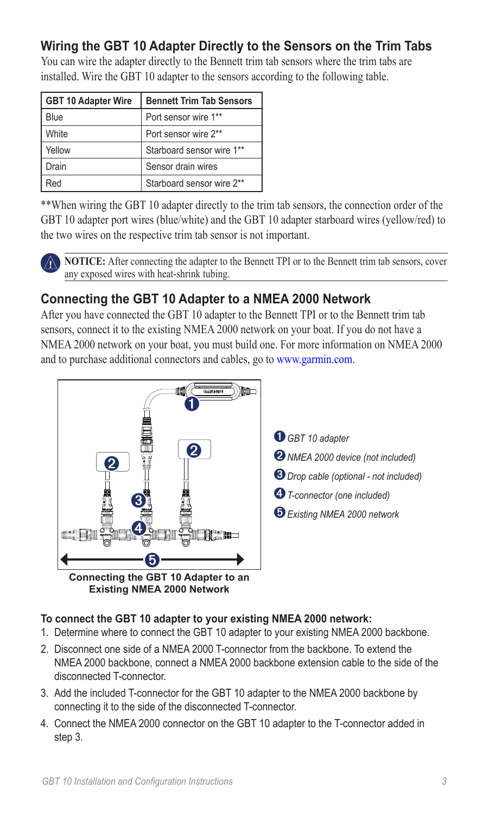### **Wiring the GBT 10 Adapter Directly to the Sensors on the Trim Tabs**

| <b>GBT 10 Adapter Wire</b> | <b>Bennett Trim Tab Sensors</b> |  |
|----------------------------|---------------------------------|--|
| Blue                       | Port sensor wire 1**            |  |
| White                      | Port sensor wire 2**            |  |
| Yellow                     | Starboard sensor wire 1**       |  |
| Drain                      | Sensor drain wires              |  |
| Red                        | Starboard sensor wire 2**       |  |

You can wire the adapter directly to the Bennett trim tab sensors where the trim tabs are installed. Wire the GBT 10 adapter to the sensors according to the following table.

\*\*When wiring the GBT 10 adapter directly to the trim tab sensors, the connection order of the GBT 10 adapter port wires (blue/white) and the GBT 10 adapter starboard wires (yellow/red) to the two wires on the respective trim tab sensor is not important.

**NOTICE:** After connecting the adapter to the Bennett TPI or to the Bennett trim tab sensors, cover any exposed wires with heat-shrink tubing.

### <span id="page-2-0"></span>**Connecting the GBT 10 Adapter to a NMEA 2000 Network**

After you have connected the GBT 10 adapter to the Bennett TPI or to the Bennett trim tab sensors, connect it to the existing NMEA 2000 network on your boat. If you do not have a NMEA 2000 network on your boat, you must build one. For more information on NMEA 2000 and to purchase additional connectors and cables, go t[o www.garmin.com.](www.garmin.com/)



**Existing NMEA 2000 Network**

➊ *GBT <sup>10</sup> adapter*

- ➋ *NMEA 2000 device (not included)*
- ➌ *Drop cable (optional - not included)*
- ➍ *T-connector (one included)*

➎ *Existing NMEA 2000 network*

#### **To connect the GBT 10 adapter to your existing NMEA 2000 network:**

- 1. Determine where to connect the GBT 10 adapter to your existing NMEA 2000 backbone.
- 2. Disconnect one side of a NMEA 2000 T-connector from the backbone. To extend the NMEA 2000 backbone, connect a NMEA 2000 backbone extension cable to the side of the disconnected T-connector.
- 3. Add the included T-connector for the GBT 10 adapter to the NMEA 2000 backbone by connecting it to the side of the disconnected T-connector.
- 4. Connect the NMEA 2000 connector on the GBT 10 adapter to the T-connector added in step 3.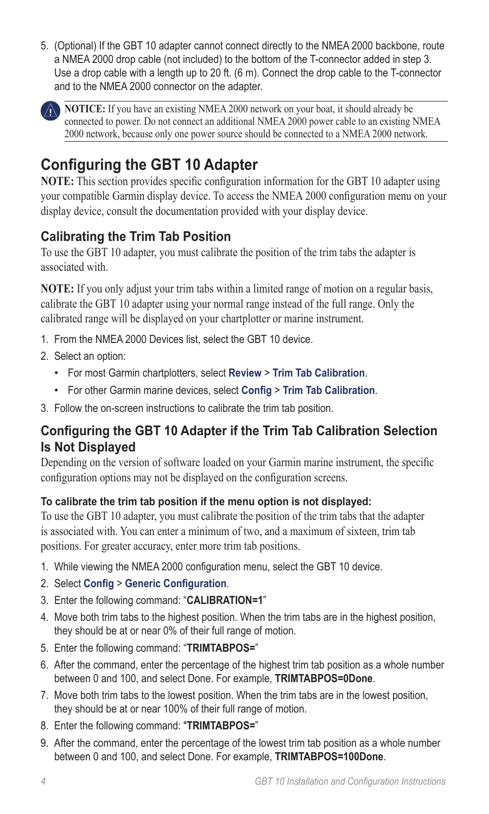5. (Optional) If the GBT 10 adapter cannot connect directly to the NMEA 2000 backbone, route a NMEA 2000 drop cable (not included) to the bottom of the T-connector added in step 3. Use a drop cable with a length up to 20 ft. (6 m). Connect the drop cable to the T-connector and to the NMEA 2000 connector on the adapter.



**NOTICE:** If you have an existing NMEA 2000 network on your boat, it should already be connected to power. Do not connect an additional NMEA 2000 power cable to an existing NMEA 2000 network, because only one power source should be connected to a NMEA 2000 network.

# **Configuring the GBT 10 Adapter**

**NOTE:** This section provides specific configuration information for the GBT 10 adapter using your compatible Garmin display device. To access the NMEA 2000 configuration menu on your display device, consult the documentation provided with your display device.

### **Calibrating the Trim Tab Position**

To use the GBT 10 adapter, you must calibrate the position of the trim tabs the adapter is associated with.

**NOTE:** If you only adjust your trim tabs within a limited range of motion on a regular basis, calibrate the GBT 10 adapter using your normal range instead of the full range. Only the calibrated range will be displayed on your chartplotter or marine instrument.

- 1. From the NMEA 2000 Devices list, select the GBT 10 device.
- 2. Select an option:
	- For most Garmin chartplotters, select **Review** > **Trim Tab Calibration**. •
	- For other Garmin marine devices, select **Config** > **Trim Tab Calibration**. •
- 3. Follow the on-screen instructions to calibrate the trim tab position.

### **Configuring the GBT 10 Adapter if the Trim Tab Calibration Selection Is Not Displayed**

Depending on the version of software loaded on your Garmin marine instrument, the specific configuration options may not be displayed on the configuration screens.

### **To calibrate the trim tab position if the menu option is not displayed:**

To use the GBT 10 adapter, you must calibrate the position of the trim tabs that the adapter is associated with. You can enter a minimum of two, and a maximum of sixteen, trim tab positions. For greater accuracy, enter more trim tab positions.

- 1. While viewing the NMEA 2000 configuration menu, select the GBT 10 device.
- 2. Select **Config** > **Generic Configuration**.
- 3. Enter the following command: "**CALIBRATION=1**"
- 4. Move both trim tabs to the highest position. When the trim tabs are in the highest position, they should be at or near 0% of their full range of motion.
- 5. Enter the following command: "**TRIMTABPOS=**"
- 6. After the command, enter the percentage of the highest trim tab position as a whole number between 0 and 100, and select Done. For example, **TRIMTABPOS=0Done**.
- 7. Move both trim tabs to the lowest position. When the trim tabs are in the lowest position, they should be at or near 100% of their full range of motion.
- 8. Enter the following command: "**TRIMTABPOS=**"
- 9. After the command, enter the percentage of the lowest trim tab position as a whole number between 0 and 100, and select Done. For example, **TRIMTABPOS=100Done**.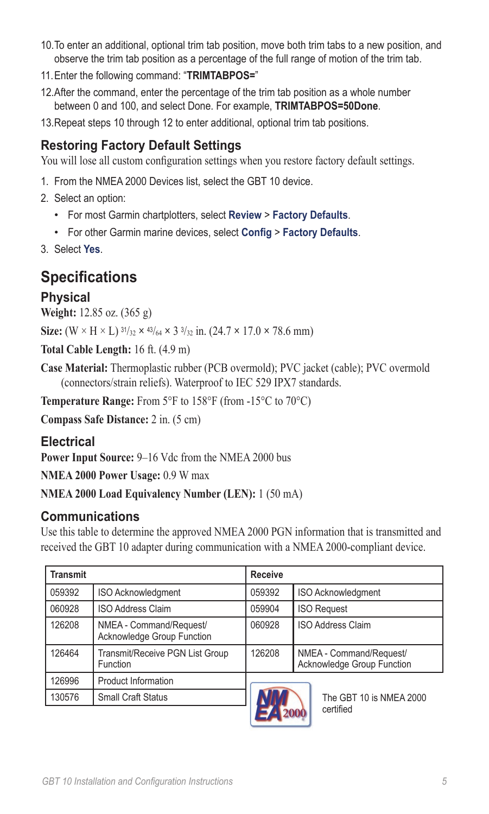- 10.To enter an additional, optional trim tab position, move both trim tabs to a new position, and observe the trim tab position as a percentage of the full range of motion of the trim tab.
- 11.Enter the following command: "**TRIMTABPOS=**"
- 12.After the command, enter the percentage of the trim tab position as a whole number between 0 and 100, and select Done. For example, **TRIMTABPOS=50Done**.
- 13.Repeat steps 10 through 12 to enter additional, optional trim tab positions.

### **Restoring Factory Default Settings**

You will lose all custom configuration settings when you restore factory default settings.

- 1. From the NMEA 2000 Devices list, select the GBT 10 device.
- 2. Select an option:
	- For most Garmin chartplotters, select **Review** > **Factory Defaults**. •
	- For other Garmin marine devices, select **Config** > **Factory Defaults**. •
- 3. Select **Yes**.

### **Specifications**

### **Physical**

**Weight:** 12.85 oz. (365 g)

**Size:**  $(W \times H \times L)$  <sup>31</sup>/<sub>32</sub>  $\times$  <sup>43</sup>/<sub>64</sub>  $\times$  3<sup>3</sup>/<sub>32</sub> in. (24.7  $\times$  17.0  $\times$  78.6 mm)

**Total Cable Length:** 16 ft. (4.9 m)

**Case Material:** Thermoplastic rubber (PCB overmold); PVC jacket (cable); PVC overmold (connectors/strain reliefs). Waterproof to IEC 529 IPX7 standards.

**Temperature Range:** From 5°F to 158°F (from -15°C to 70°C)

**Compass Safe Distance:** 2 in. (5 cm)

### **Electrical**

**Power Input Source:** 9–16 Vdc from the NMEA 2000 bus

**NMEA 2000 Power Usage:** 0.9 W max

**NMEA 2000 Load Equivalency Number (LEN):** 1 (50 mA)

### **Communications**

Use this table to determine the approved NMEA 2000 PGN information that is transmitted and received the GBT 10 adapter during communication with a NMEA 2000-compliant device.

| <b>Transmit</b> |                                                       | <b>Receive</b> |                                                       |
|-----------------|-------------------------------------------------------|----------------|-------------------------------------------------------|
| 059392          | <b>ISO Acknowledgment</b>                             | 059392         | <b>ISO Acknowledgment</b>                             |
| 060928          | <b>ISO Address Claim</b>                              | 059904         | <b>ISO Request</b>                                    |
| 126208          | NMEA - Command/Request/<br>Acknowledge Group Function | 060928         | <b>ISO Address Claim</b>                              |
| 126464          | Transmit/Receive PGN List Group<br>Function           | 126208         | NMEA - Command/Request/<br>Acknowledge Group Function |
| 126996          | Product Information                                   |                |                                                       |
| 130576          | <b>Small Craft Status</b>                             |                | The GBT 10 is NMEA 2000                               |



certified